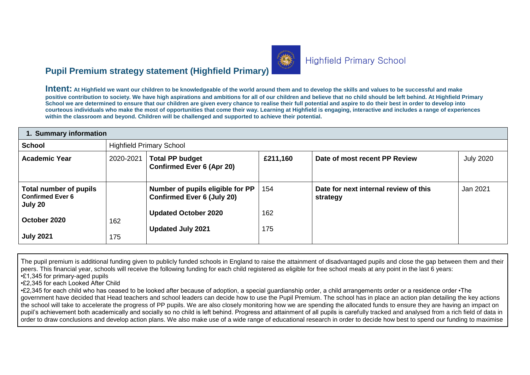# **Pupil Premium strategy statement (Highfield Primary)**

**Intent: At Highfield we want our children to be knowledgeable of the world around them and to develop the skills and values to be successful and make positive contribution to society. We have high aspirations and ambitions for all of our children and believe that no child should be left behind. At Highfield Primary School we are determined to ensure that our children are given every chance to realise their full potential and aspire to do their best in order to develop into courteous individuals who make the most of opportunities that come their way. Learning at Highfield is engaging, interactive and includes a range of experiences within the classroom and beyond. Children will be challenged and supported to achieve their potential.** 

| 1. Summary information                                       |            |                                                                       |            |                                                   |                  |  |  |  |
|--------------------------------------------------------------|------------|-----------------------------------------------------------------------|------------|---------------------------------------------------|------------------|--|--|--|
| <b>School</b>                                                |            | <b>Highfield Primary School</b>                                       |            |                                                   |                  |  |  |  |
| <b>Academic Year</b>                                         | 2020-2021  | <b>Total PP budget</b><br><b>Confirmed Ever 6 (Apr 20)</b>            | £211,160   | Date of most recent PP Review                     | <b>July 2020</b> |  |  |  |
| Total number of pupils<br><b>Confirmed Ever 6</b><br>July 20 |            | Number of pupils eligible for PP<br><b>Confirmed Ever 6 (July 20)</b> | 154        | Date for next internal review of this<br>strategy | Jan 2021         |  |  |  |
| October 2020<br><b>July 2021</b>                             | 162<br>175 | <b>Updated October 2020</b><br><b>Updated July 2021</b>               | 162<br>175 |                                                   |                  |  |  |  |

The pupil premium is additional funding given to publicly funded schools in England to raise the attainment of disadvantaged pupils and close the gap between them and their peers. This financial year, schools will receive the following funding for each child registered as eligible for free school meals at any point in the last 6 years: •£1,345 for primary-aged pupils

•£2,345 for each Looked After Child

•£2,345 for each child who has ceased to be looked after because of adoption, a special guardianship order, a child arrangements order or a residence order •The government have decided that Head teachers and school leaders can decide how to use the Pupil Premium. The school has in place an action plan detailing the key actions the school will take to accelerate the progress of PP pupils. We are also closely monitoring how we are spending the allocated funds to ensure they are having an impact on pupil's achievement both academically and socially so no child is left behind. Progress and attainment of all pupils is carefully tracked and analysed from a rich field of data in order to draw conclusions and develop action plans. We also make use of a wide range of educational research in order to decide how best to spend our funding to maximise



# **Highfield Primary School**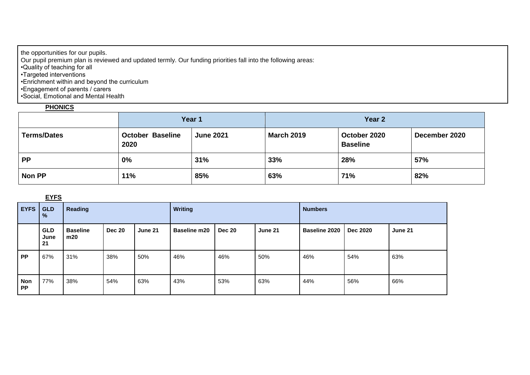the opportunities for our pupils.

Our pupil premium plan is reviewed and updated termly. Our funding priorities fall into the following areas:

•Quality of teaching for all

•Targeted interventions

•Enrichment within and beyond the curriculum

•Engagement of parents / carers

•Social, Emotional and Mental Health

### **PHONICS**

|                    |                                 | Year 1           | Year 2            |                                 |               |  |
|--------------------|---------------------------------|------------------|-------------------|---------------------------------|---------------|--|
| <b>Terms/Dates</b> | <b>October Baseline</b><br>2020 | <b>June 2021</b> | <b>March 2019</b> | October 2020<br><b>Baseline</b> | December 2020 |  |
| <b>PP</b>          | 0%                              | 31%              | 33%               | 28%                             | 57%           |  |
| <b>Non PP</b>      | 11%                             | 85%              | 63%               | 71%                             | 82%           |  |

#### **EYFS**

| EYFS                    | <b>GLD</b><br>%          | <b>Reading</b>         |               |         | <b>Writing</b>      |               |         | <b>Numbers</b>       |                 |         |
|-------------------------|--------------------------|------------------------|---------------|---------|---------------------|---------------|---------|----------------------|-----------------|---------|
|                         | <b>GLD</b><br>June<br>21 | <b>Baseline</b><br>m20 | <b>Dec 20</b> | June 21 | <b>Baseline m20</b> | <b>Dec 20</b> | June 21 | <b>Baseline 2020</b> | <b>Dec 2020</b> | June 21 |
| <b>PP</b>               | 67%                      | 31%                    | 38%           | 50%     | 46%                 | 46%           | 50%     | 46%                  | 54%             | 63%     |
| <b>Non</b><br><b>PP</b> | 77%                      | 38%                    | 54%           | 63%     | 43%                 | 53%           | 63%     | 44%                  | 56%             | 66%     |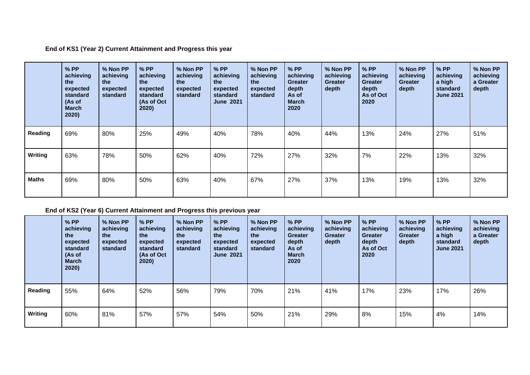**End of KS1 (Year 2) Current Attainment and Progress this year**

|              | $%$ PP<br>achieving<br>the<br>expected<br>standard<br>(As of<br><b>March</b><br>2020) | % Non PP<br>achieving<br>the<br>expected<br>standard | $%$ PP<br>achieving<br>the<br>expected<br>standard<br>(As of Oct<br>2020) | % Non PP<br>achieving<br>the<br>expected<br>standard | $%$ PP<br>achieving<br>the<br>expected<br>standard<br><b>June 2021</b> | % Non PP<br>achieving<br>the<br>expected<br>standard | $%$ PP<br>achieving<br><b>Greater</b><br>depth<br>As of<br><b>March</b><br>2020 | % Non PP<br>achieving<br><b>Greater</b><br>depth | $%$ PP<br>achieving<br><b>Greater</b><br>depth<br>As of Oct<br>2020 | % Non PP<br>achieving<br><b>Greater</b><br>depth | $%$ PP<br>achieving<br>a high<br>standard<br><b>June 2021</b> | % Non PP<br>achieving<br>a Greater<br>depth |
|--------------|---------------------------------------------------------------------------------------|------------------------------------------------------|---------------------------------------------------------------------------|------------------------------------------------------|------------------------------------------------------------------------|------------------------------------------------------|---------------------------------------------------------------------------------|--------------------------------------------------|---------------------------------------------------------------------|--------------------------------------------------|---------------------------------------------------------------|---------------------------------------------|
| Reading      | 69%                                                                                   | 80%                                                  | 25%                                                                       | 49%                                                  | 40%                                                                    | 78%                                                  | 40%                                                                             | 44%                                              | 13%                                                                 | 24%                                              | 27%                                                           | 51%                                         |
| Writing      | 63%                                                                                   | 78%                                                  | 50%                                                                       | 62%                                                  | 40%                                                                    | 72%                                                  | 27%                                                                             | 32%                                              | 7%                                                                  | 22%                                              | 13%                                                           | 32%                                         |
| <b>Maths</b> | 69%                                                                                   | 80%                                                  | 50%                                                                       | 63%                                                  | 40%                                                                    | 67%                                                  | 27%                                                                             | 37%                                              | 13%                                                                 | 19%                                              | 13%                                                           | 32%                                         |

### **End of KS2 (Year 6) Current Attainment and Progress this previous year**

|         | $%$ PP<br>achieving<br>the<br>expected<br>standard<br>(As of<br><b>March</b><br>2020) | % Non PP<br>achieving<br>the<br>expected<br>standard | $%$ PP<br>achieving<br>the<br>expected<br>standard<br>(As of Oct<br>2020) | % Non PP<br>achieving<br>the<br>expected<br>standard | $%$ PP<br>achieving<br>the<br>expected<br>standard<br><b>June 2021</b> | % Non PP<br>achieving<br>the<br>expected<br>standard | $%$ PP<br>achieving<br><b>Greater</b><br>depth<br>As of<br><b>March</b><br>2020 | % Non PP<br>achieving<br><b>Greater</b><br>depth | $%$ PP<br>achieving<br><b>Greater</b><br>depth<br>As of Oct<br>2020 | % Non PP<br>achieving<br><b>Greater</b><br>depth | $%$ PP<br>achieving<br>a high<br>standard<br><b>June 2021</b> | % Non PP<br>achieving<br>a Greater<br>depth |
|---------|---------------------------------------------------------------------------------------|------------------------------------------------------|---------------------------------------------------------------------------|------------------------------------------------------|------------------------------------------------------------------------|------------------------------------------------------|---------------------------------------------------------------------------------|--------------------------------------------------|---------------------------------------------------------------------|--------------------------------------------------|---------------------------------------------------------------|---------------------------------------------|
| Reading | 55%                                                                                   | 64%                                                  | 52%                                                                       | 56%                                                  | 79%                                                                    | 70%                                                  | 21%                                                                             | 41%                                              | 17%                                                                 | 23%                                              | 17%                                                           | 26%                                         |
| Writing | 60%                                                                                   | 81%                                                  | 57%                                                                       | 57%                                                  | 54%                                                                    | 50%                                                  | 21%                                                                             | 29%                                              | 8%                                                                  | 15%                                              | 4%                                                            | 14%                                         |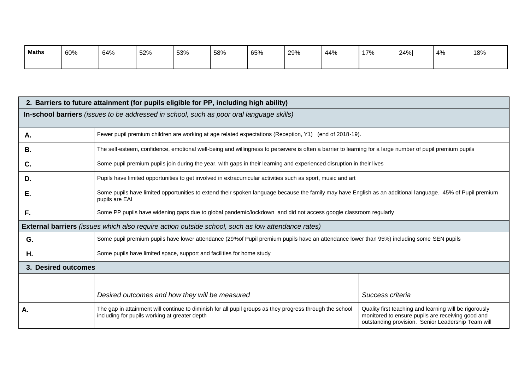| <b>Maths</b> | 60% | 64% | 52% | 53% | 58% | 65% | 29% | 44% | 17% | 24% | $4\%$ | 18% |
|--------------|-----|-----|-----|-----|-----|-----|-----|-----|-----|-----|-------|-----|
|              |     |     |     |     |     |     |     |     |     |     |       |     |

| 2. Barriers to future attainment (for pupils eligible for PP, including high ability)    |                                                                                                                                                                              |                                                                                                                                                                   |  |  |  |  |  |  |
|------------------------------------------------------------------------------------------|------------------------------------------------------------------------------------------------------------------------------------------------------------------------------|-------------------------------------------------------------------------------------------------------------------------------------------------------------------|--|--|--|--|--|--|
| In-school barriers (issues to be addressed in school, such as poor oral language skills) |                                                                                                                                                                              |                                                                                                                                                                   |  |  |  |  |  |  |
|                                                                                          |                                                                                                                                                                              |                                                                                                                                                                   |  |  |  |  |  |  |
| Α.                                                                                       | Fewer pupil premium children are working at age related expectations (Reception, Y1) (end of 2018-19).                                                                       |                                                                                                                                                                   |  |  |  |  |  |  |
| <b>B.</b>                                                                                | The self-esteem, confidence, emotional well-being and willingness to persevere is often a barrier to learning for a large number of pupil premium pupils                     |                                                                                                                                                                   |  |  |  |  |  |  |
| C.                                                                                       | Some pupil premium pupils join during the year, with gaps in their learning and experienced disruption in their lives                                                        |                                                                                                                                                                   |  |  |  |  |  |  |
| D.                                                                                       | Pupils have limited opportunities to get involved in extracurricular activities such as sport, music and art                                                                 |                                                                                                                                                                   |  |  |  |  |  |  |
| Е.                                                                                       | Some pupils have limited opportunities to extend their spoken language because the family may have English as an additional language. 45% of Pupil premium<br>pupils are EAI |                                                                                                                                                                   |  |  |  |  |  |  |
| F.                                                                                       | Some PP pupils have widening gaps due to global pandemic/lockdown and did not access google classroom regularly                                                              |                                                                                                                                                                   |  |  |  |  |  |  |
|                                                                                          | <b>External barriers</b> (issues which also require action outside school, such as low attendance rates)                                                                     |                                                                                                                                                                   |  |  |  |  |  |  |
| G.                                                                                       | Some pupil premium pupils have lower attendance (29% of Pupil premium pupils have an attendance lower than 95%) including some SEN pupils                                    |                                                                                                                                                                   |  |  |  |  |  |  |
| Η.                                                                                       | Some pupils have limited space, support and facilities for home study                                                                                                        |                                                                                                                                                                   |  |  |  |  |  |  |
| 3. Desired outcomes                                                                      |                                                                                                                                                                              |                                                                                                                                                                   |  |  |  |  |  |  |
|                                                                                          |                                                                                                                                                                              |                                                                                                                                                                   |  |  |  |  |  |  |
|                                                                                          | Desired outcomes and how they will be measured                                                                                                                               | Success criteria                                                                                                                                                  |  |  |  |  |  |  |
| Α.                                                                                       | The gap in attainment will continue to diminish for all pupil groups as they progress through the school<br>including for pupils working at greater depth                    | Quality first teaching and learning will be rigorously<br>monitored to ensure pupils are receiving good and<br>outstanding provision. Senior Leadership Team will |  |  |  |  |  |  |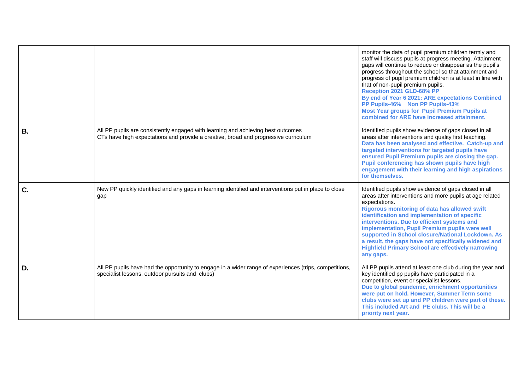|    |                                                                                                                                                                         | monitor the data of pupil premium children termly and<br>staff will discuss pupils at progress meeting. Attainment<br>gaps will continue to reduce or disappear as the pupil's<br>progress throughout the school so that attainment and<br>progress of pupil premium children is at least in line with<br>that of non-pupil premium pupils.<br>Reception 2021 GLD-68% PP<br>By end of Year 6 2021: ARE expectations Combined<br>PP Pupils-46% Non PP Pupils-43%<br><b>Most Year groups for Pupil Premium Pupils at</b><br>combined for ARE have increased attainment. |
|----|-------------------------------------------------------------------------------------------------------------------------------------------------------------------------|-----------------------------------------------------------------------------------------------------------------------------------------------------------------------------------------------------------------------------------------------------------------------------------------------------------------------------------------------------------------------------------------------------------------------------------------------------------------------------------------------------------------------------------------------------------------------|
| В. | All PP pupils are consistently engaged with learning and achieving best outcomes<br>CTs have high expectations and provide a creative, broad and progressive curriculum | Identified pupils show evidence of gaps closed in all<br>areas after interventions and quality first teaching.<br>Data has been analysed and effective. Catch-up and<br>targeted interventions for targeted pupils have<br>ensured Pupil Premium pupils are closing the gap.<br>Pupil conferencing has shown pupils have high<br>engagement with their learning and high aspirations<br>for themselves.                                                                                                                                                               |
| C. | New PP quickly identified and any gaps in learning identified and interventions put in place to close<br>gap                                                            | Identified pupils show evidence of gaps closed in all<br>areas after interventions and more pupils at age related<br>expectations.<br>Rigorous monitoring of data has allowed swift<br>identification and implementation of specific<br>interventions. Due to efficient systems and<br>implementation, Pupil Premium pupils were well<br>supported in School closure/National Lockdown. As<br>a result, the gaps have not specifically widened and<br><b>Highfield Primary School are effectively narrowing</b><br>any gaps.                                          |
| D. | All PP pupils have had the opportunity to engage in a wider range of experiences (trips, competitions,<br>specialist lessons, outdoor pursuits and clubs)               | All PP pupils attend at least one club during the year and<br>key identified pp pupils have participated in a<br>competition, event or specialist lessons.<br>Due to global pandemic, enrichment opportunities<br>were put on hold. However, Summer Term some<br>clubs were set up and PP children were part of these.<br>This included Art and PE clubs. This will be a<br>priority next year.                                                                                                                                                                       |